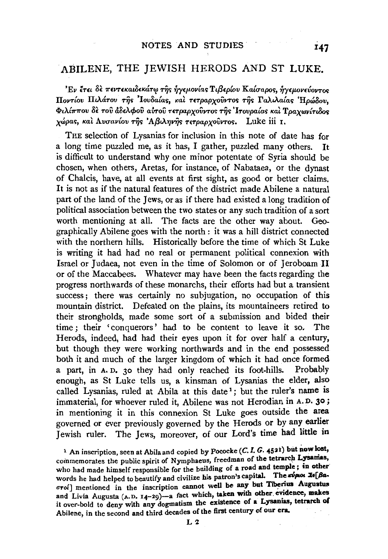## . ABILENE, THE JEWISH HERODS AND ST LUKE.

*'Ev*  ζτει δε πεντεκαιδεκάτω της ηγεμονίας Τιβερίου Καίσαρος, ηγεμονεύοντος *Ποντίου Πιλάτου της 'Ιουδαίας, και τετραρχούντος της Γαλιλαίας 'Ηρώδου, il.>tA{?r?roV 8£ TOV a8£Acpov al-rov T£TpapxovVTOS* ~ .. *'ITovpa{as Kal Tpaxwv{Tt&s*  x~pas, *Kal Avuav{ov* ~ *.. 'A/31-A'Y}vqS T£TpapxovVTos.* Luke iii I.

THE selection of Lysanias for inclusion in this note of date has for a long time puzzled me, as it has, I gather, puzzled many others. It is difficult to understand why one minor potentate of Syria should be chosen, when others, Aretas, for instance, of Nabataea, or the dynast of Chalcis, have, at all events at first sight, as good or better claims. It is not as if the natural features of the district made Abilene a natural part of the land of the Jews, or as if there had existed a long tradition of political association between the two states or any such tradition of a sort worth mentioning at all. The facts are the other way about. Geographically Abilene goes with the north : it was a hill district connected with the northern hills. Historically before the time of which St Luke is writing it had had no real or permanent political connexion with Israel or Judaea, not even in the time of Solomon or of Jeroboam II or of the Maccabees. Whatever may have been the facts regarding the progress northwards of these monarchs, their efforts had but a transient success; there was certainly no subjugation, no occupation of this mountain district. Defeated on the plains, its mountaineers retired to their strongholds, made some sort of a submission and bided their time; their 'conquerors' had to be content to leave it so. The Herods, indeed, had had their eyes upon it for over half a century, but though they were working northwards and in the end possessed both it and much of the larger kingdom of which it had once formed a part, in A. D. 30 they had only reached its foot-hills. Probably enough, as St Luke tells us, a kinsman of Lysanias the elder, also called Lysanias, ruled at Abila at this date<sup>1</sup>; but the ruler's name is immaterial, for whoever ruled it, Abilene was not Herodian in A. D. 30 ; in mentioning it in this connexion St Luke goes outside the area governed or ever previously governed by the Herods or by any earlier Jewish ruler. The Jews, moreover, of our Lord's time had little in

<sup>1</sup> An inscription, seen at Abila and copied by Pococke (C. *I. G.* 4521) but now lost, commemorates the public spirit of Nymphaeus, freedman of the tetrarch Lysamas, who had made himself responsible for the building of a road and temple; in other words he had helped to beautify and civilize his patron's capital. The wipon  $\mathbb{Z}\epsilon[\beta a$ - $\sigma$ <sup>Tol</sup>] mentioned in the inscription cannot well be any but Tiberius Augustus and Livia Augusta (A.D. 14-29)-a fact which, taken with other evidence, makes it over-bold to deny with any dogmatism the existence of a Lysanias, tetrarch of Abilene, in the second and third decades of the first century of our era.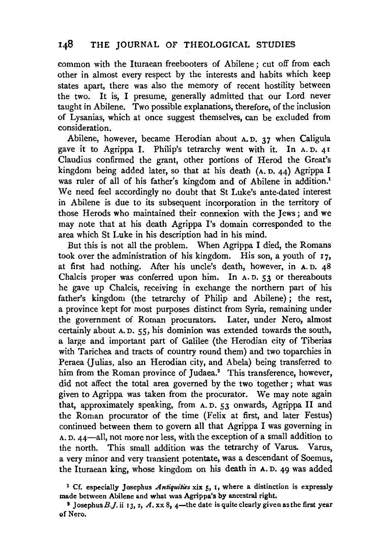common with the Ituraean freebooters of Abilene; cut off from each other in almost every respect by the interests and habits which keep states apart, there was also the memory of recent hostility between the two. It is, I presume, generally admitted that our Lord never taught in Abilene. Two possible explanations, therefore, of the inclusion of Lysanias, which at once suggest themselves, can be excluded from consideration.

Abilene, however, became Herodian about A. D. 37 when Caligula gave it to Agrippa I. Philip's tetrarchy went with it. In A. D. 41 Claudius confirmed the grant, other portions of Herod the Great's kingdom being added later, so that at his death (A. D. 44) Agrippa I was ruler of all of his father's kingdom and of Abilene in addition.<sup>1</sup> We need feel accordingly no doubt that St Luke's ante-dated interest in Abilene is due to its subsequent incorporation in the territory of those Herods who maintained their connexion with the Jews ; and we may note that at his death Agrippa l's domain corresponded to the area which St Luke in his description had in his mind.

But this is not all the problem. When Agrippa I died, the Romans took over the administration of his kingdom. His son, a youth of  $r_7$ , at first had nothing. After his uncle's death, however, in A. D. 48 Chalcis proper was conferred upon him. In A. D. 53 or thereabouts he gave up Chalcis, receiving in exchange the northern part of his father's kingdom (the tetrarchy of Philip and Abilene) ; the rest, a province kept for most purposes distinct from Syria, remaining under the government of Roman procurators. Later, under Nero, almost certainly about A. D. 55, his dominion was extended towards the south, a large and important part of Galilee (the Herodian city of Tiberias with Tarichea and tracts of country round them) and two toparchies in Peraea (Julias, also an Herodian city, and Abela) being transferred to him from the Roman province of Judaea.<sup>2</sup> This transference, however, did not affect the total area governed by the two together ; what was given to Agrippa was taken from the procurator. We may note again that, approximately speaking, from A. D. 53 onwards, Agrippa II and the Roman procurator of the time (Felix at first, and later Festus) continued between them to govern all that Agrippa I was governing in A. D. 44-all, not more nor less, with the exception of a small addition to the north. This small addition was the tetrarchy of Varus.. Varus, a very minor and very transient potentate, was a descendant of Soemus, the Ituraean king, whose kingdom on his death in A. D. 49 was added

<sup>&</sup>lt;sup>1</sup> Cf. especially Josephus *Antiquities* xix 5, 1, where a distinction is expressly made between Abilene and what was Agrippa's by ancestral right.

<sup>&</sup>lt;sup>2</sup> Josephus *B.J.* ii 13, 2, A. xx 8, 4-the date is quite clearly given as the first year of Nero.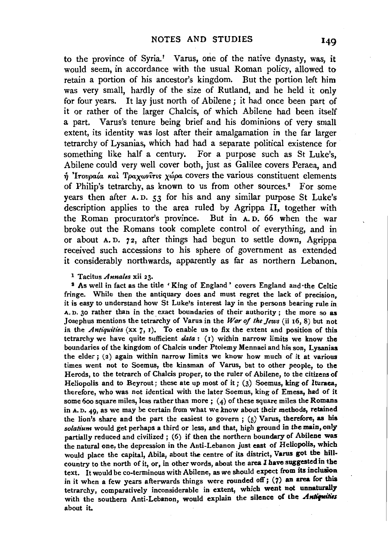to the province of Syria.1 Varus, one of the native dynasty, was, it would seem, in accordance with the usual Roman policy, allowed to retain a portion of his ancestor's kingdom. But the portion left him was very small, hardly of the size of Rutland, and he held it only for four years. It lay just north of Abilene; it had once been part of it or rather of the larger Chalcis, of which Abilene had been itself a part. Varus's tenure being brief and his dominions of very small extent, its identity was lost after their amalgamation in the far larger tetrarchy of Lysanias, which had had a separate political existence for something like half a century. For a purpose such as St Luke's, Abilene could very well cover both, just as Galilee covers Peraea, and  $\eta$  'Irovpaía και Τραχωνίτις χώρα covers the various constituent elements of Philip's tetrarchy, as known to us from other sources.' For some years then after A.D. 53 for his and any similar purpose St Luke's description applies to the area ruled by Agrippa II, together with the Roman procurator's province. But in A. D. 66 when the war broke out the Romans took complete control of everything, and in or about A. D. 72, after things had begun to settle down, Agrippa received such accessions to his sphere of government as extended it considerably northwards, apparently as far as northern Lebanon.

## <sup>1</sup> Tacitus *Annales* xii 23.

<sup>2</sup> As well in fact as the title 'King of England' covers England and the Celtic fringe. While then the antiquary does and must regret the lack of precision, it is easy to understand how St Luke's interest lay in the persons bearing rule in. A. D. 30 rather than in the exact boundaries of their authority ; the more so as Josephus mentions the tetrarchy of Varus in the *War of the jews* (ii 16, 8) but not in the *Antiquities* (xx 7, 1). To enable us to fix the extent and position of this tetrarchy we have quite sufficient *data:* (1) within narrow limits we know the boundaries of the kingdom of Chalcis under Ptolemy Mennaei and his son, Lysanias the elder; (2) again within narrow limits we know how much of it at various times went not to Soemus, the kinsman of Varus, but to other people, to the Herods, to the tetrarch of Chalcis proper, to the ruler of Abilene, to the citizens of Heliopolis and to Beyrout; these ate up most of it ; (3) Soemus, king of Ituraea, therefore, who was not identical with the later Soemus, king of Emesa, had of it some 600 square miles, less rather than more ;  $(4)$  of these square miles the Romans in A. D. 49, as we may be certain from what we know about their methods, retained the lion's share and the part the easiest to govern ; (5) Varus, therefore, as his *solatium* would get perhaps a third or less, and that, high ground in the main, only partially reduced and civilized ; (6) if then the northern boundary of Abilene was the natural one, the depression in the Anti-Lebanon just east of Heliopolis, which would place the capital, Abila, about the centre of its district, Varus got the hillcountry to the north of it, or, in other words, about the area I have suggested in the text. It would be co-terminous with Abilene, as we should expect from its inclusion in it when a few years afterwards things were rounded off;  $(7)$  an area for this tetrarchy, comparatively inconsiderable in extent, which went not unnaturally with the southern Anti-Lebanon, would explain the silence of the *Antiquities* about it.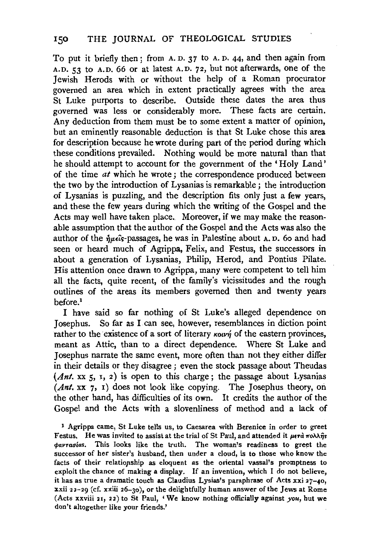To put it briefly then; from A. D. 37 to A. D. 44, and then again from A.D. 53 to A.D. 66 or at latest A.D. 72, but not afterwards, one of the Jewish Herods with or without the help of a Roman procurator governed an area which in extent practically agrees with the area St Luke purports to describe. Outside these dates the area thus governed was less or considerably more. These facts are certain. Any deduction from them must be to some extent a matter of opinion, but an eminently reasonable deduction is that St Luke chose this area for description because he wrote during part of the period during which these conditions prevailed. Nothing would be more natural than that he should attempt to account for the government of the 'Holv Land' of the time *at* which he wrote ; the correspondence produced between the two by the introduction of Lysanias is remarkable; the introduction of Lysanias is puzzling, and the description fits only just a few years, and these the few years during which the writing of the Gospel and the Acts may well have taken place. Moreover, if we may make the reasonable assumption that the author of the Gospel and the Acts was also the author of the  $\hat{\eta}$ u $\epsilon\hat{i}$ s-passages, he was in Palestine about A. D. 60 and had seen or heard much of Agrippa, Felix, and Festus, the successors in about a generation of Lysanias, Philip, Herod, and Pontius Pilate. His attention once drawn to Agrippa, many were competent to tell him all the facts, quite recent, of the family's vicissitudes and the rough outlines of the areas its members governed then and twenty years before.<sup>1</sup>

I have said so far nothing of St Luke's alleged dependence on Josephus. So far as I can see, however, resemblances in diction point rather to the existence of a sort of literary  $\kappa_0 w \gamma$  of the eastern provinces, meant as Attic, than to a direct dependence. Where St Luke and Josephus narrate the same event, more often than not they either differ in their details or they disagree ; even the stock passage about Theudas  $(Ant, xx, 5, 1, 2)$  is open to this charge; the passage about Lysanias *(Ant.* xx 7, 1) does not look like copying. The Josephus theory, on the other hand, has difficulties of its own. It credits the author of the Gospel and the Acts with a slovenliness of method and a lack of

<sup>1</sup>Agrippa came, St Luke tells us, to Caesarea with Berenice in order to greet Festus. He was invited to assist at the trial of St Paul, and attended it  $\mu \epsilon \tau \dot{\alpha} \pi o \lambda \lambda \hat{\eta} s$ parragias. This looks like the truth. The woman's readiness to greet the successor of her sister's husband, then under a cloud, is to those who know the facts of their relatiopship as eloquent as the oriental vassal's promptness to exploit the chance of making a display. If an invention, which I do not believe, it has as true a dramatic touch as Claudius Lysias's paraphrase of Acts xxi 27-40, xxii 2 2-29 ( cf. xxiii 26-30 ), or the delightfully human answer of the Jews at Rome (Acts xxviii *n,* 22) to St Paul, 1 We know nothing officially against *you,* but we don't altogether like your friends.'